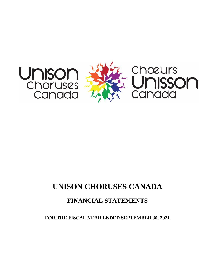



# **UNISON CHORUSES CANADA**

# **FINANCIAL STATEMENTS**

**FOR THE FISCAL YEAR ENDED SEPTEMBER 30, 2021**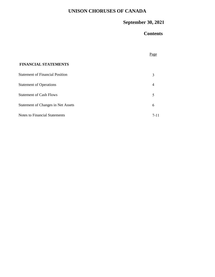# **UNISON CHORUSES OF CANADA**

# **September 30, 2021**

# **Contents**

|                                           | $P_2$ ge |
|-------------------------------------------|----------|
| <b>FINANCIAL STATEMENTS</b>               |          |
| <b>Statement of Financial Position</b>    | 3        |
| <b>Statement of Operations</b>            | 4        |
| <b>Statement of Cash Flows</b>            | 5        |
| <b>Statement of Changes in Net Assets</b> | 6        |
| <b>Notes to Financial Statements</b>      | $7 - 11$ |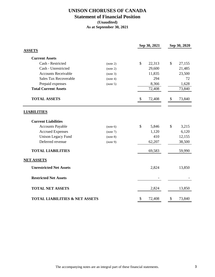### **UNISON CHORUSES OF CANADA Statement of Financial Position (Unaudited) As at September 30, 2021**

|                                           |          | Sep 30, 2021 |        | Sep 30, 2020 |        |  |
|-------------------------------------------|----------|--------------|--------|--------------|--------|--|
| <b>ASSETS</b>                             |          |              |        |              |        |  |
| <b>Current Assets</b>                     |          |              |        |              |        |  |
| Cash - Restricted                         | (note 2) | \$           | 22,313 | \$           | 27,155 |  |
| Cash - Unrestricted                       | (note 2) |              | 29,600 |              | 21,485 |  |
| <b>Accounts Receivable</b>                | (note 3) |              | 11,835 |              | 23,500 |  |
| Sales Tax Recoverable                     | (note 4) |              | 294    |              | 72     |  |
| Prepaid expenses                          | (note 5) |              | 8,366  |              | 1,628  |  |
| <b>Total Current Assets</b>               |          |              | 72,408 |              | 73,840 |  |
| <b>TOTAL ASSETS</b>                       |          | \$           | 72,408 | \$           | 73,840 |  |
| <b>LIABILITIES</b>                        |          |              |        |              |        |  |
| <b>Current Liabilities</b>                |          |              |        |              |        |  |
| <b>Accounts Payable</b>                   | (note 6) | $\mathbb{S}$ | 5,846  | \$           | 3,215  |  |
| <b>Accrued Expenses</b>                   | (note 7) |              | 1,120  |              | 6,120  |  |
| <b>Unison Legacy Fund</b>                 | (note 8) |              | 410    |              | 12,155 |  |
| Deferred revenue                          | (note 9) |              | 62,207 |              | 38,500 |  |
| <b>TOTAL LIABILITIES</b>                  |          |              | 69,583 |              | 59,990 |  |
| <b>NET ASSETS</b>                         |          |              |        |              |        |  |
| <b>Unrestricted Net Assets</b>            |          |              | 2,824  |              | 13,850 |  |
| <b>Restricted Net Assets</b>              |          |              |        |              |        |  |
| <b>TOTAL NET ASSETS</b>                   |          |              | 2,824  |              | 13,850 |  |
| <b>TOTAL LIABILITIES &amp; NET ASSETS</b> |          | \$           | 72,408 | \$           | 73,840 |  |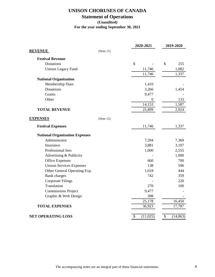### **UNISON CHORUSES OF CANADA**

# **Statement of Operations**

### **(Unaudited)**

**For the year ending September 30, 2021**

|                                       | 2020-2021        | 2019-2020       |  |
|---------------------------------------|------------------|-----------------|--|
| <b>REVENUE</b><br>(Note 11)           |                  |                 |  |
| <b>Festival Revenue</b>               |                  |                 |  |
| Donations                             | \$               | \$<br>255       |  |
| <b>Unison Legacy Fund</b>             | 11,746           | 1,082           |  |
|                                       | 11,746           | 1,337           |  |
| <b>National Organization</b>          |                  |                 |  |
| <b>Membership Dues</b>                | 1,410            |                 |  |
| Donations                             | 3,266            | 1,454           |  |
| Grants                                | 9,477            |                 |  |
| Other                                 | $\boldsymbol{0}$ | 133             |  |
|                                       | 14,153           | 1,587           |  |
| <b>TOTAL REVENUE</b>                  | 25,899           | 2,924           |  |
| <b>EXPENSES</b><br>(Note 12)          |                  |                 |  |
| <b>Festival Expenses</b>              | 11,746           | 1,337           |  |
| <b>National Organization Expenses</b> |                  |                 |  |
| Administrator                         | 7,594            | 7,369           |  |
| Insurance                             | 3,881            | 3,107           |  |
| Professional fees                     | 1,000            | 2,555           |  |
| Advertising & Publicity               |                  | 1,000           |  |
| <b>Office Expenses</b>                | 660              | 700             |  |
| <b>Unison Services Expenses</b>       | 138              | 596             |  |
| Other General Operating Exp.          | 1,018            | 444             |  |
| <b>Bank</b> charges                   | 742              | 359             |  |
| <b>Corporate Filings</b>              |                  | 220             |  |
| Translation                           | 270              | 100             |  |
| <b>Commissions Project</b>            | 9,477            |                 |  |
| Graphic & Web Design                  | 398              |                 |  |
|                                       | 25,178           | 16,450          |  |
| <b>TOTAL EXPENSES</b>                 | 36,923           | 17,787          |  |
| <b>NET OPERATING LOSS</b>             | \$<br>(11,025)   | \$<br>(14, 863) |  |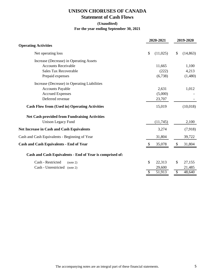### **UNISON CHORUSES OF CANADA Statement of Cash Flows**

### **(Unaudited) For the year ending September 30, 2021**

|                                                          | 2020-2021      |    | 2019-2020 |  |
|----------------------------------------------------------|----------------|----|-----------|--|
| <b>Operating Activities</b>                              |                |    |           |  |
| Net operating loss                                       | \$<br>(11,025) | \$ | (14, 863) |  |
| Increase (Decrease) in Operating Assets                  |                |    |           |  |
| <b>Accounts Receivable</b>                               | 11,665         |    | 1,100     |  |
| <b>Sales Tax Recoverable</b>                             | (222)          |    | 4,213     |  |
| Prepaid expenses                                         | (6,738)        |    | (1,480)   |  |
| Increase (Decrease) in Operating Liabilities             |                |    |           |  |
| <b>Accounts Payable</b>                                  | 2,631          |    | 1,012     |  |
| <b>Accrued Expenses</b>                                  | (5,000)        |    |           |  |
| Deferred revenue                                         | 23,707         |    |           |  |
| <b>Cash Flow from (Used in) Operating Activities</b>     | 15,019         |    | (10,018)  |  |
| Net Cash provided from Fundraising Activities            |                |    |           |  |
| <b>Unison Legacy Fund</b>                                | (11,745)       |    | 2,100     |  |
| <b>Net Increase in Cash and Cash Equivalents</b>         | 3,274          |    | (7,918)   |  |
| Cash and Cash Equivalents - Beginning of Year            | 31,804         |    | 39,722    |  |
| <b>Cash and Cash Equivalents - End of Year</b>           | \$<br>35,078   | \$ | 31,804    |  |
| Cash and Cash Equivalents - End of Year is comprised of: |                |    |           |  |
| Cash - Restricted<br>(note 2)                            | \$<br>22,313   | \$ | 27,155    |  |
| Cash - Unrestricted<br>(note 2)                          | 29,600         |    | 21,485    |  |
|                                                          | 51,913         | \$ | 48,640    |  |
|                                                          |                |    |           |  |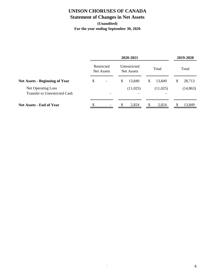# **UNISON CHORUSES OF CANADA**

# **Statement of Changes in Net Assets**

### **(Unaudited) For the year ending September 30, 2020**

|                                                            | 2020-2021 |                          |    |                            | 2019-2020    |    |           |
|------------------------------------------------------------|-----------|--------------------------|----|----------------------------|--------------|----|-----------|
|                                                            |           | Restricted<br>Net Assets |    | Unrestricted<br>Net Assets | Total        |    | Total     |
| <b>Net Assets - Beginning of Year</b>                      | \$        |                          | \$ | 13,849                     | \$<br>13,849 | \$ | 28,713    |
| Net Operating Loss<br><b>Transfer to Unrestricted Cash</b> |           |                          |    | (11,025)                   | (11,025)     |    | (14, 863) |
| <b>Net Assets - End of Year</b>                            |           |                          |    | 2,824                      | 2,824        |    | 13,849    |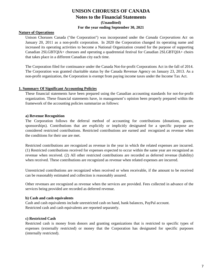### **UNISON CHORUSES OF CANADA Notes to the Financial Statements (Unaudited) For the year ending September 30, 2021**

#### **Nature of Operations**

Unison Choruses Canada ("the Corporation") was incorporated under the *Canada Corporations Act* on January 20, 2011 as a non-profit corporation. In 2020 the Corporation changed its operating name and increased its operating activities to become a National Organization created for the purpose of supporting Canadian 2SLGBTQIA+ choruses and operating a quadrennial festival for Canadian 2SLGBTQIA+ choirs that takes place in a different Canadian city each time.

The Corporation filed for continuance under the Canada Not-for-profit Corporations Act in the fall of 2014. The Corporation was granted charitable status by the Canada Revenue Agency on January 23, 2013. As a non-profit organization, the Corporation is exempt from paying income taxes under the Income Tax Act.

#### **1. Summary Of Significant Accounting Policies**

These financial statements have been prepared using the Canadian accounting standards for not-for-profit organization. These financial statements have, in management's opinion been properly prepared within the framework of the accounting policies summarize as follows:

#### **a) Revenue Recognition**

The Corporation follows the deferral method of accounting for contributions (donations, grants, sponsorships). Contributions that are explicitly or implicitly designated for a specific purpose are considered restricted contributions. Restricted contributions are earned and recognized as revenue when the conditions for their use are met.

Restricted contributions are recognized as revenue in the year in which the related expenses are incurred. (1) Restricted contributions received for expenses expected to occur within the same year are recognized as revenue when received. (2) All other restricted contributions are recorded as deferred revenue (liability) when received. These contributions are recognized as revenue when related expenses are incurred.

Unrestricted contributions are recognized when received or when receivable, if the amount to be received can be reasonably estimated and collection is reasonably assured.

Other revenues are recognized as revenue when the services are provided. Fees collected in advance of the services being provided are recorded as deferred revenue.

#### **b) Cash and cash equivalents**

Cash and cash equivalents include unrestricted cash on hand, bank balances, PayPal account. Restricted cash and cash equivalents are reported separately.

#### **c) Restricted Cash**

Restricted cash is money from donors and granting organizations that is restricted to specific types of expenses (externally restricted) or money that the Corporation has designated for specific purposes (internally restricted).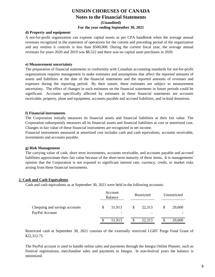### **UNISON CHORUSES OF CANADA Notes to the Financial Statements (Unaudited) For the year ending September 30, 2021**

#### **d) Property and equipment**

A not-for-profit organization can expense capital assets as per CPA handbook when the average annual revenues recognized in the statement of operations for the current and preceding period of the organization and any entities it controls is less than \$500,000. During the current fiscal year, the average annual revenues for years 2020 and 2019 was \$8,522 and there was no capital asset purchases in 2020.

#### **e) Measurement uncertainty**

The preparation of financial statements in conformity with Canadian accounting standards for not-for-profit organizations requires management to make estimates and assumptions that affect the reported amounts of assets and liabilities at the date of the financial statements and the reported amounts of revenues and expenses during the reporting period. By their nature, these estimates are subject to measurement uncertainty. The effect of changes in such estimates on the financial statements in future periods could be significant. Accounts specifically affected by estimates in these financial statements are accounts receivable, property, plant and equipment, accounts payable and accrued liabilities, and in-kind donations.

#### **f) Financial instruments**

The Corporation initially measures its financial assets and financial liabilities at their fair value. The Corporation subsequently measures all its financial assets and financial liabilities at cost or amortized cost. Changes in fair value of these financial instruments are recognized in net income.

Financial instruments measured at amortized cost includes cash and cash equivalents, accounts receivable, investments and accounts payable.

#### **g) Risk Management**

The carrying value of cash, short term investments, accounts receivable, and accounts payable and accrued liabilities approximate their fair value because of the short-term maturity of these items. It is managements' opinion that the Corporation is not exposed to significant interest rate, currency, credit, or market risks arising from these financial instruments.

#### **2. Cash and Cash Equivalents**

Cash and cash equivalents as at September 30, 2021 were held in the following accounts:

|                                                 | Account<br>Balance                       |   | Restricted |    | Unrestricted |  |
|-------------------------------------------------|------------------------------------------|---|------------|----|--------------|--|
| Chequing and savings accounts<br>PayPal Account | \$<br>51,913<br>$\overline{\phantom{0}}$ | S | 22,313     | \$ | 29,600       |  |
|                                                 | 51,913                                   |   | 22,313     |    | 29,600       |  |

Restricted cash at September 30, 2021 consists of the externally restricted LGBT Purge Fund Grant of \$22,312.75

The PayPal account is used to handle online sales and payments through the Integra Online Planner, such as Festival registrations, merchandise sales and payments to Integra. In non-festival years the balance is minimized.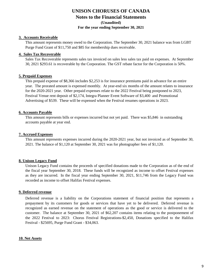### **UNISON CHORUSES OF CANADA Notes to the Financial Statements (Unaudited) For the year ending September 30, 2021**

#### **3. Accounts Receivable**

This amount represents money owed to the Corporation. The September 30, 2021 balance was from LGBT Purge Fund Grant of \$11,750 and \$85 for membership dues receivable.

#### **4. Sales Tax Recoverable**

Sales Tax Recoverable represents sales tax invoiced on sales less sales tax paid on expenses. At September 30, 2021 \$293.61 is recoverable by the Corporation. The GST rebate factor for the Corporation is 50%.

#### **5. Prepaid Expenses**

This prepaid expense of \$8,366 includes \$2,253 is for insurance premiums paid in advance for an entire year. The prorated amount is expensed monthly. At year-end six months of the amount relates to insurance for the 2020-2021 year. Other prepaid expenses relate to the 2022 Festival being postponed to 2023, Festival Venue rent deposit of \$2,174, Integra Planner Event Software of \$3,400 and Promotional Advertising of \$539. These will be expensed when the Festival resumes operations in 2023.

#### **6. Accounts Payable**

This amount represents bills or expenses incurred but not yet paid. There was \$5,846 in outstanding accounts payable at year end.

#### **7. Accrued Expenses**

This amount represents expenses incurred during the 2020-2021 year, but not invoiced as of September 30, 2021. The balance of \$1,120 at September 30, 2021 was for photographer fees of \$1,120.

#### **8. Unison Legacy Fund**

Unison Legacy Fund contains the proceeds of specified donations made to the Corporation as of the end of the fiscal year September 30, 2018. These funds will be recognized as income to offset Festival expenses as they are incurred. In the fiscal year ending September 30, 2021, \$11,746 from the Legacy Fund was recorded as income to offset Halifax Festival expenses.

#### **9. Deferred revenue**

Deferred revenue is a liability on the Corporations statement of financial position that represents a prepayment by its customers for goods or services that have yet to be delivered. Deferred revenue is recognized as earned revenue on the statement of operations as the good or service is delivered to the customer. The balance at September 30, 2021 of \$62,207 contains items relating to the postponement of the 2022 Festival to 2023: Chorus Festival Registrations-\$2,450, Donations specified to the Halifax Festival - \$25695, Purge Fund Grant - \$34,063.

#### **10. Net Assets**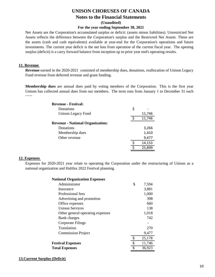### **UNISON CHORUSES OF CANADA Notes to the Financial Statements (Unaudited)**

#### **For the year ending September 30, 2021**

Net Assets are the Corporation's accumulated surplus or deficit: (assets minus liabilities). Unrestricted Net Assets reflects the difference between the Corporation's surplus and the Restricted Net Assets. These are the assets (cash and cash equivalents) available at year-end for the Corporation's operations and future investments. The current year deficit is the net loss from operation of the current fiscal year. The opening surplus (deficit) is a carry forward balance from inception up to prior year end's operating results.

#### **11. Revenue**

**Revenue** earned in the 2020-2021 consisted of membership dues, donations, reallocation of Unison Legacy Fund revenue from deferred revenue and grant funding.

**Membership dues** are annual dues paid by voting members of the Corporation. This is the first year Unison has collected annual dues from our members. The term runs from January 1 to December 31 each year.

| <b>Revenue - Festival:</b>              |   |        |
|-----------------------------------------|---|--------|
| Donations                               | S |        |
| Unison Legacy Fund                      |   | 11,746 |
|                                         |   | 11,746 |
| <b>Revenue - National Organization:</b> |   |        |
| Donations                               |   | 3,266  |
| Membership dues                         |   | 1,410  |
| Other revenue                           |   | 9,477  |
|                                         |   | 14,153 |
|                                         |   | 25,899 |

#### **12. Expenses**

Expenses for 2020-2021 year relate to operating the Corporation under the restructuring of Unison as a national organization and Halifax 2022 Festival planning.

| <b>National Organization Expenses</b> |              |
|---------------------------------------|--------------|
| Administrator                         | \$<br>7,594  |
| Insurance                             | 3,881        |
| Professional fees                     | 1,000        |
| Advertising and promotion             | 398          |
| Office expenses                       | 660          |
| <b>Unison Services</b>                | 138          |
| Other general operating expenses      | 1,018        |
| Bank charges                          | 742          |
| Corporate Filings                     |              |
| Translation                           | 270          |
| <b>Commission Project</b>             | 9,477        |
|                                       | 25,178       |
| <b>Festival Expenses</b>              | \$<br>11,746 |
| <b>Total Expenses</b>                 | \$<br>36,923 |

#### **13.Current Surplus (Deficit)**